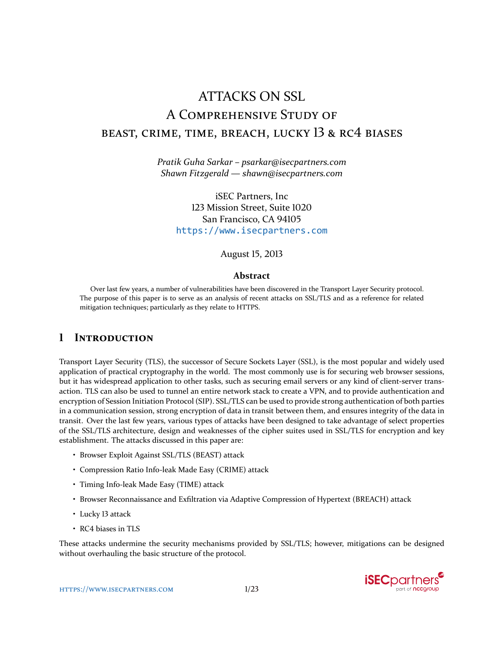# ATTACKS ON SSL A COMPREHENSIVE STUDY OF BEAST, CRIME, TIME, BREACH, LUCKY 13 & RC4 BIASES

*Pratik Guha Sarkar – psarkar@isecpartners.com Shawn Fitzgerald — shawn@isecpartners.com*

iSEC Partners, Inc 123 Mission Street, Suite 1020 San Francisco, CA 94105 <https://www.isecpartners.com>

August 15, 2013

#### **Abstract**

Over last few years, a number of vulnerabilities have been discovered in the Transport Layer Security protocol. The purpose of this paper is to serve as an analysis of recent attacks on SSL/TLS and as a reference for related mitigation techniques; particularly as they relate to HTTPS.

# **1 INTRODUCTION**

Transport Layer Security (TLS), the successor of Secure Sockets Layer (SSL), is the most popular and widely used application of practical cryptography in the world. The most commonly use is for securing web browser sessions, but it has widespread application to other tasks, such as securing email servers or any kind of client-server transaction. TLS can also be used to tunnel an entire network stack to create a VPN, and to provide authentication and encryption of Session Initiation Protocol (SIP). SSL/TLS can be used to provide strong authentication of both parties in a communication session, strong encryption of data in transit between them, and ensures integrity of the data in transit. Over the last few years, various types of attacks have been designed to take advantage of select properties of the SSL/TLS architecture, design and weaknesses of the cipher suites used in SSL/TLS for encryption and key establishment. The attacks discussed in this paper are:

- Browser Exploit Against SSL/TLS (BEAST) attack
- Compression Ratio Info-leak Made Easy (CRIME) attack
- Timing Info-leak Made Easy (TIME) attack
- Browser Reconnaissance and Exfiltration via Adaptive Compression of Hypertext (BREACH) attack
- Lucky 13 attack
- RC4 biases in TLS

These attacks undermine the security mechanisms provided by SSL/TLS; however, mitigations can be designed without overhauling the basic structure of the protocol.

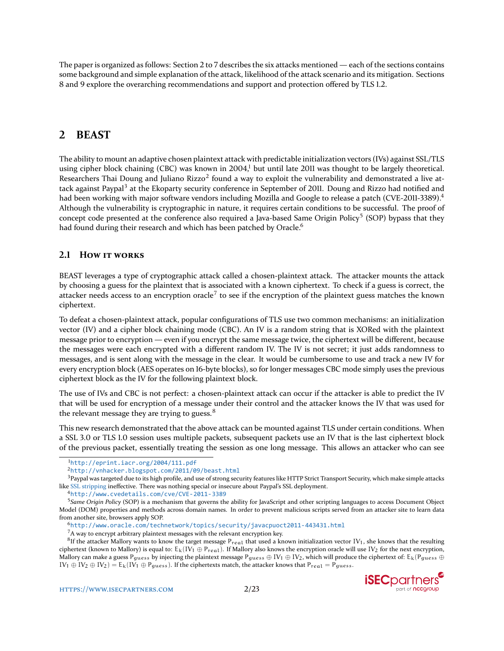The paper is organized as follows: Section 2 to 7 describes the six attacks mentioned — each of the sections contains some background and simple explanation of the attack, likelihood of the attack scenario and its mitigation. Sections 8 and 9 explore the overarching recommendations and support and protection offered by TLS 1.2.

# **2 BEAST**

The ability to mount an adaptive chosen plaintext attack with predictable initialization vectors (IVs) against SSL/TLS using cipher block chaining (CBC) was known in  $2004<sup>1</sup>$  but until late 2011 was thought to be largely theoretical. Researchers Thai Doung and Juliano Rizzo<sup>[2](#page-1-1)</sup> found a way to exploit the vulnerability and demonstrated a live at-tack against Paypal<sup>[3](#page-1-2)</sup> at the Ekoparty security conference in September of 2011. Doung and Rizzo had notified and had been working with major software vendors including Mozilla and Google to release a patch (CVE-2011-3389).<sup>[4](#page-1-3)</sup> Although the vulnerability is cryptographic in nature, it requires certain conditions to be successful. The proof of concept code presented at the conference also required a Java-based Same Origin Policy<sup>[5](#page-1-4)</sup> (SOP) bypass that they had found during their research and which has been patched by Oracle.<sup>[6](#page-1-5)</sup>

# **2.1 HOW IT WORKS**

BEAST leverages a type of cryptographic attack called a chosen-plaintext attack. The attacker mounts the attack by choosing a guess for the plaintext that is associated with a known ciphertext. To check if a guess is correct, the attacker needs access to an encryption oracle<sup>[7](#page-1-6)</sup> to see if the encryption of the plaintext guess matches the known ciphertext.

To defeat a chosen-plaintext attack, popular configurations of TLS use two common mechanisms: an initialization vector (IV) and a cipher block chaining mode (CBC). An IV is a random string that is XORed with the plaintext message prior to encryption — even if you encrypt the same message twice, the ciphertext will be different, because the messages were each encrypted with a different random IV. The IV is not secret; it just adds randomness to messages, and is sent along with the message in the clear. It would be cumbersome to use and track a new IV for every encryption block (AES operates on 16-byte blocks), so for longer messages CBC mode simply uses the previous ciphertext block as the IV for the following plaintext block.

The use of IVs and CBC is not perfect: a chosen-plaintext attack can occur if the attacker is able to predict the IV that will be used for encryption of a message under their control and the attacker knows the IV that was used for the relevant message they are trying to guess. $8$ 

This new research demonstrated that the above attack can be mounted against TLS under certain conditions. When a SSL 3.0 or TLS 1.0 session uses multiple packets, subsequent packets use an IV that is the last ciphertext block of the previous packet, essentially treating the session as one long message. This allows an attacker who can see

<sup>3</sup> Paypal was targeted due to its high profile, and use of strong security features like HTTP Strict Transport Security, which make simple attacks like [SSL stripping](http://www.thoughtcrime.org/software/sslstrip/) ineffective. There was nothing special or insecure about Paypal's SSL deployment.

<span id="page-1-5"></span><sup>6</sup><http://www.oracle.com/technetwork/topics/security/javacpuoct2011-443431.html>

<span id="page-1-7"></span><span id="page-1-6"></span> $7A$  way to encrypt arbitrary plaintext messages with the relevant encryption key.

 $^8$ If the attacker Mallory wants to know the target message  $P_{real}$  that used a known initialization vector  $IV_1$ , she knows that the resulting ciphertext (known to Mallory) is equal to:  $E_k(IV_1 \oplus P_{real})$ . If Mallory also knows the encryption oracle will use IV<sub>2</sub> for the next encryption, Mallory can make a guess P<sub>quess</sub> by injecting the plaintext message P<sub>quess</sub> ⊕ IV<sub>1</sub> ⊕ IV<sub>2</sub>, which will produce the ciphertext of: E<sub>k</sub>(P<sub>quess</sub> ⊕  $IV_1 \oplus IV_2 \oplus IV_2$ ) =  $E_k(IV_1 \oplus P_{guess})$ . If the ciphertexts match, the attacker knows that  $P_{real} = P_{guess}$ .



<span id="page-1-0"></span><sup>1</sup><http://eprint.iacr.org/2004/111.pdf>

<span id="page-1-2"></span><span id="page-1-1"></span><sup>2</sup><http://vnhacker.blogspot.com/2011/09/beast.html>

<span id="page-1-4"></span><span id="page-1-3"></span><sup>4</sup><http://www.cvedetails.com/cve/CVE-2011-3389>

<sup>5</sup>*Same Origin Policy* (SOP) is a mechanism that governs the ability for JavaScript and other scripting languages to access Document Object Model (DOM) properties and methods across domain names. In order to prevent malicious scripts served from an attacker site to learn data from another site, browsers apply SOP.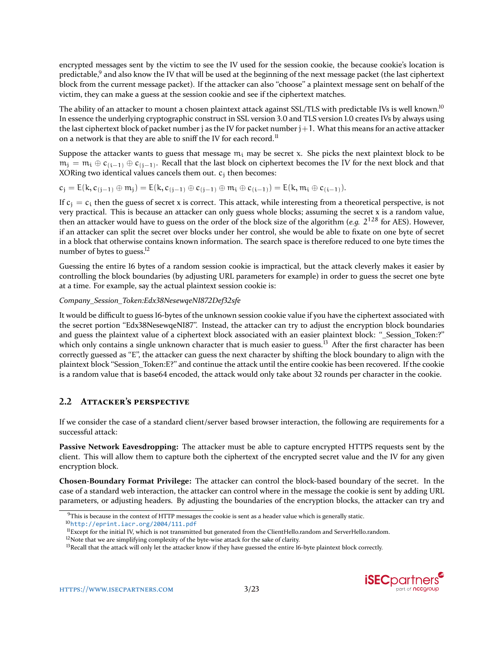encrypted messages sent by the victim to see the IV used for the session cookie, the because cookie's location is predictable,<sup>[9](#page-2-0)</sup> and also know the IV that will be used at the beginning of the next message packet (the last ciphertext block from the current message packet). If the attacker can also "choose" a plaintext message sent on behalf of the victim, they can make a guess at the session cookie and see if the ciphertext matches.

The ability of an attacker to mount a chosen plaintext attack against SSL/TLS with predictable IVs is well known.<sup>[10](#page-2-1)</sup> In essence the underlying cryptographic construct in SSL version 3.0 and TLS version 1.0 creates IVs by always using the last ciphertext block of packet number j as the IV for packet number  $j+1$ . What this means for an active attacker on a network is that they are able to sniff the IV for each record.<sup>[11](#page-2-2)</sup>

Suppose the attacker wants to guess that message  $m_i$  may be secret x. She picks the next plaintext block to be  $m_j = m_i \oplus c_{(i-1)} \oplus c_{(j-1)}$ . Recall that the last block on ciphertext becomes the IV for the next block and that XORing two identical values cancels them out.  $c_i$  then becomes:

$$
c_j = E(k, c_{(j-1)} \oplus m_j) = E(k, c_{(j-1)} \oplus c_{(j-1)} \oplus m_i \oplus c_{(i-1)}) = E(k, m_i \oplus c_{(i-1)}).
$$

If  $c_i = c_i$  then the guess of secret x is correct. This attack, while interesting from a theoretical perspective, is not very practical. This is because an attacker can only guess whole blocks; assuming the secret x is a random value, then an attacker would have to guess on the order of the block size of the algorithm (*e.g.* 2 <sup>128</sup> for AES). However, if an attacker can split the secret over blocks under her control, she would be able to fixate on one byte of secret in a block that otherwise contains known information. The search space is therefore reduced to one byte times the number of bytes to guess.<sup>[12](#page-2-3)</sup>

Guessing the entire 16 bytes of a random session cookie is impractical, but the attack cleverly makes it easier by controlling the block boundaries (by adjusting URL parameters for example) in order to guess the secret one byte at a time. For example, say the actual plaintext session cookie is:

#### *Company\_Session\_Token:Edx38NesewqeNI872Def32sfe*

It would be difficult to guess 16-bytes of the unknown session cookie value if you have the ciphertext associated with the secret portion "Edx38NesewqeNI87". Instead, the attacker can try to adjust the encryption block boundaries and guess the plaintext value of a ciphertext block associated with an easier plaintext block: ``\_Session\_Token:?'' which only contains a single unknown character that is much easier to guess.<sup>[13](#page-2-4)</sup> After the first character has been correctly guessed as "E", the attacker can guess the next character by shifting the block boundary to align with the plaintext block "Session\_Token:E?" and continue the attack until the entire cookie has been recovered. If the cookie is a random value that is base64 encoded, the attack would only take about 32 rounds per character in the cookie.

# **2.2 ATTACKER'S PERSPECTIVE**

If we consider the case of a standard client/server based browser interaction, the following are requirements for a successful attack:

**Passive Network Eavesdropping:** The attacker must be able to capture encrypted HTTPS requests sent by the client. This will allow them to capture both the ciphertext of the encrypted secret value and the IV for any given encryption block.

**Chosen-Boundary Format Privilege:** The attacker can control the block-based boundary of the secret. In the case of a standard web interaction, the attacker can control where in the message the cookie is sent by adding URL parameters, or adjusting headers. By adjusting the boundaries of the encryption blocks, the attacker can try and

<span id="page-2-0"></span> $9$ This is because in the context of HTTP messages the cookie is sent as a header value which is generally static.

<span id="page-2-1"></span><sup>10</sup><http://eprint.iacr.org/2004/111.pdf>

<span id="page-2-2"></span> $<sup>11</sup>$  Except for the initial IV, which is not transmitted but generated from the ClientHello.random and ServerHello.random.</sup>

<span id="page-2-3"></span><sup>&</sup>lt;sup>12</sup>Note that we are simplifying complexity of the byte-wise attack for the sake of clarity.

<span id="page-2-4"></span><sup>&</sup>lt;sup>13</sup> Recall that the attack will only let the attacker know if they have guessed the entire 16-byte plaintext block correctly.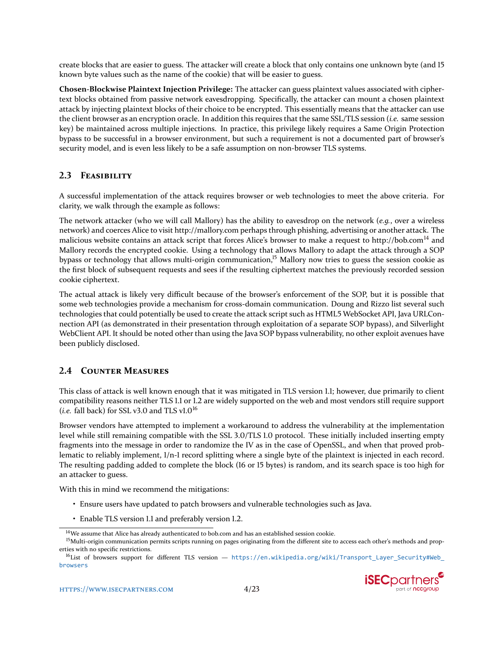create blocks that are easier to guess. The attacker will create a block that only contains one unknown byte (and 15 known byte values such as the name of the cookie) that will be easier to guess.

**Chosen-Blockwise Plaintext Injection Privilege:** The attacker can guess plaintext values associated with ciphertext blocks obtained from passive network eavesdropping. Specifically, the attacker can mount a chosen plaintext attack by injecting plaintext blocks of their choice to be encrypted. This essentially means that the attacker can use the client browser as an encryption oracle. In addition this requires that the same SSL/TLS session (*i.e.* same session key) be maintained across multiple injections. In practice, this privilege likely requires a Same Origin Protection bypass to be successful in a browser environment, but such a requirement is not a documented part of browser's security model, and is even less likely to be a safe assumption on non-browser TLS systems.

# **2.3 FEASIBILITY**

A successful implementation of the attack requires browser or web technologies to meet the above criteria. For clarity, we walk through the example as follows:

The network attacker (who we will call Mallory) has the ability to eavesdrop on the network (*e.g.*, over a wireless network) and coerces Alice to visit http://mallory.com perhaps through phishing, advertising or another attack. The malicious website contains an attack script that forces Alice's browser to make a request to http://bob.com<sup>[14](#page-3-0)</sup> and Mallory records the encrypted cookie. Using a technology that allows Mallory to adapt the attack through a SOP bypass or technology that allows multi-origin communication,<sup>[15](#page-3-1)</sup> Mallory now tries to guess the session cookie as the first block of subsequent requests and sees if the resulting ciphertext matches the previously recorded session cookie ciphertext.

The actual attack is likely very difficult because of the browser's enforcement of the SOP, but it is possible that some web technologies provide a mechanism for cross-domain communication. Doung and Rizzo list several such technologies that could potentially be used to create the attack script such as HTML5 WebSocket API, Java URLConnection API (as demonstrated in their presentation through exploitation of a separate SOP bypass), and Silverlight WebClient API. It should be noted other than using the Java SOP bypass vulnerability, no other exploit avenues have been publicly disclosed.

# **2.4 COUNTER MEASURES**

This class of attack is well known enough that it was mitigated in TLS version 1.1; however, due primarily to client compatibility reasons neither TLS 1.1 or 1.2 are widely supported on the web and most vendors still require support (*i.e.* fall back) for SSL v3.0 and TLS v1.0<sup>[16](#page-3-2)</sup>

Browser vendors have attempted to implement a workaround to address the vulnerability at the implementation level while still remaining compatible with the SSL 3.0/TLS 1.0 protocol. These initially included inserting empty fragments into the message in order to randomize the IV as in the case of OpenSSL, and when that proved problematic to reliably implement, 1/n-1 record splitting where a single byte of the plaintext is injected in each record. The resulting padding added to complete the block (16 or 15 bytes) is random, and its search space is too high for an attacker to guess.

With this in mind we recommend the mitigations:

- Ensure users have updated to patch browsers and vulnerable technologies such as Java.
- Enable TLS version 1.1 and preferably version 1.2.

<span id="page-3-2"></span><sup>16</sup>List of browsers support for different TLS version — [https://en.wikipedia.org/wiki/Transport\\_Layer\\_Security#Web\\_](https://en.wikipedia.org/wiki/Transport_Layer_Security#Web_browsers) [browsers](https://en.wikipedia.org/wiki/Transport_Layer_Security#Web_browsers)



<span id="page-3-1"></span><span id="page-3-0"></span><sup>&</sup>lt;sup>14</sup>We assume that Alice has already authenticated to bob.com and has an established session cookie.

<sup>&</sup>lt;sup>15</sup>Multi-origin communication permits scripts running on pages originating from the different site to access each other's methods and properties with no specific restrictions.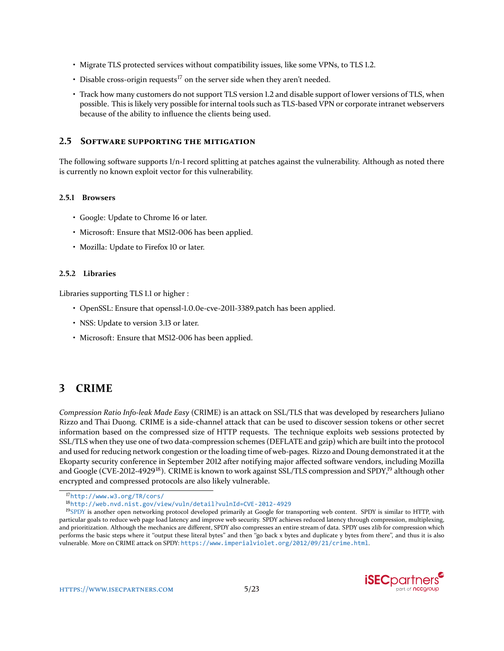- Migrate TLS protected services without compatibility issues, like some VPNs, to TLS 1.2.
- Disable cross-origin requests<sup>[17](#page-4-0)</sup> on the server side when they aren't needed.
- Track how many customers do not support TLS version 1.2 and disable support of lower versions of TLS, when possible. This is likely very possible for internal tools such as TLS-based VPN or corporate intranet webservers because of the ability to influence the clients being used.

#### **2.5 SOFTWARE SUPPORTING THE MITIGATION**

The following software supports 1/n-1 record splitting at patches against the vulnerability. Although as noted there is currently no known exploit vector for this vulnerability.

#### **2.5.1 Browsers**

- Google: Update to Chrome 16 or later.
- Microsoft: Ensure that MS12-006 has been applied.
- Mozilla: Update to Firefox 10 or later.

#### **2.5.2 Libraries**

Libraries supporting TLS 1.1 or higher :

- OpenSSL: Ensure that openssl-1.0.0e-cve-2011-3389.patch has been applied.
- NSS: Update to version 3.13 or later.
- Microsoft: Ensure that MS12-006 has been applied.

# **3 CRIME**

*Compression Ratio Info-leak Made Easy* (CRIME) is an attack on SSL/TLS that was developed by researchers Juliano Rizzo and Thai Duong. CRIME is a side-channel attack that can be used to discover session tokens or other secret information based on the compressed size of HTTP requests. The technique exploits web sessions protected by SSL/TLS when they use one of two data-compression schemes (DEFLATE and gzip) which are built into the protocol and used for reducing network congestion or the loading time of web-pages. Rizzo and Doung demonstrated it at the Ekoparty security conference in September 2012 after notifying major affected software vendors, including Mozilla and Google (CVE-2012-4929<sup>[18](#page-4-1)</sup>). CRIME is known to work against SSL/TLS compression and SPDY,<sup>[19](#page-4-2)</sup> although other encrypted and compressed protocols are also likely vulnerable.

<sup>&</sup>lt;sup>19</sup>[SPDY](http://www.chromium.org/spdy) is another open networking protocol developed primarily at Google for transporting web content. SPDY is similar to HTTP, with particular goals to reduce web page load latency and improve web security. SPDY achieves reduced latency through compression, multiplexing, and prioritization. Although the mechanics are different, SPDY also compresses an entire stream of data. SPDY uses zlib for compression which performs the basic steps where it "output these literal bytes" and then "go back x bytes and duplicate y bytes from there", and thus it is also vulnerable. More on CRIME attack on SPDY: <https://www.imperialviolet.org/2012/09/21/crime.html>.



<span id="page-4-0"></span><sup>17</sup><http://www.w3.org/TR/cors/>

<span id="page-4-2"></span><span id="page-4-1"></span><sup>18</sup><http://web.nvd.nist.gov/view/vuln/detail?vulnId=CVE-2012-4929>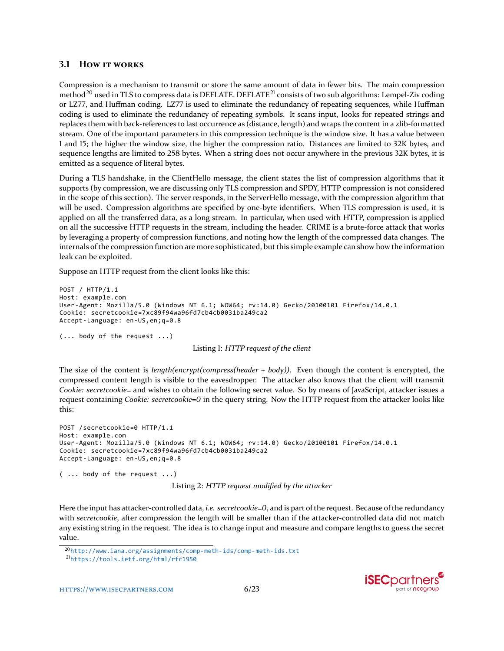#### **3.1 HOW IT WORKS**

Compression is a mechanism to transmit or store the same amount of data in fewer bits. The main compression method<sup>[20](#page-5-0)</sup> used in TLS to compress data is DEFLATE. DEFLATE<sup>[21](#page-5-1)</sup> consists of two sub algorithms: Lempel-Ziv coding or LZ77, and Huffman coding. LZ77 is used to eliminate the redundancy of repeating sequences, while Huffman coding is used to eliminate the redundancy of repeating symbols. It scans input, looks for repeated strings and replaces them with back-references to last occurrence as (distance, length) and wraps the content in a zlib-formatted stream. One of the important parameters in this compression technique is the window size. It has a value between 1 and 15; the higher the window size, the higher the compression ratio. Distances are limited to 32K bytes, and sequence lengths are limited to 258 bytes. When a string does not occur anywhere in the previous 32K bytes, it is emitted as a sequence of literal bytes.

During a TLS handshake, in the ClientHello message, the client states the list of compression algorithms that it supports (by compression, we are discussing only TLS compression and SPDY, HTTP compression is not considered in the scope of this section). The server responds, in the ServerHello message, with the compression algorithm that will be used. Compression algorithms are specified by one-byte identifiers. When TLS compression is used, it is applied on all the transferred data, as a long stream. In particular, when used with HTTP, compression is applied on all the successive HTTP requests in the stream, including the header. CRIME is a brute-force attack that works by leveraging a property of compression functions, and noting how the length of the compressed data changes. The internals of the compression function are more sophisticated, but this simple example can show how the information leak can be exploited.

Suppose an HTTP request from the client looks like this:

```
POST / HTTP/1.1
Host: example.com
User-Agent: Mozilla/5.0 (Windows NT 6.1; WOW64; rv:14.0) Gecko/20100101 Firefox/14.0.1
Cookie: secretcookie=7xc89f94wa96fd7cb4cb0031ba249ca2
Accept-Language: en-US,en;q=0.8
(... body of the request ...)
                                   Listing 1: HTTP request of the client
```
The size of the content is *length(encrypt(compress(header + body))*. Even though the content is encrypted, the compressed content length is visible to the eavesdropper. The attacker also knows that the client will transmit *Cookie: secretcookie=* and wishes to obtain the following secret value. So by means of JavaScript, attacker issues a request containing *Cookie: secretcookie=0* in the query string. Now the HTTP request from the attacker looks like this:

```
POST /secretcookie=0 HTTP/1.1
Host: example.com
User-Agent: Mozilla/5.0 (Windows NT 6.1; WOW64; rv:14.0) Gecko/20100101 Firefox/14.0.1
Cookie: secretcookie=7xc89f94wa96fd7cb4cb0031ba249ca2
Accept-Language: en-US,en;q=0.8
( ... body of the request ...)
                             Listing 2: HTTP request modified by the attacker
```
Here the input has attacker-controlled data, *i.e. secretcookie=0*, and is part of the request. Because of the redundancy with *secretcookie*, after compression the length will be smaller than if the attacker-controlled data did not match any existing string in the request. The idea is to change input and measure and compare lengths to guess the secret value.



<span id="page-5-0"></span><sup>20</sup><http://www.iana.org/assignments/comp-meth-ids/comp-meth-ids.txt>

<span id="page-5-1"></span><sup>21</sup><https://tools.ietf.org/html/rfc1950>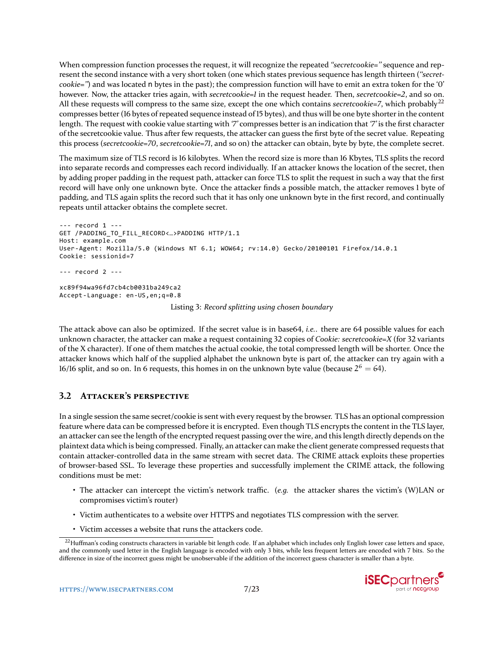When compression function processes the request, it will recognize the repeated *"secretcookie="* sequence and represent the second instance with a very short token (one which states previous sequence has length thirteen (*``secretcookie=''*) and was located n bytes in the past); the compression function will have to emit an extra token for the '0' however. Now, the attacker tries again, with *secretcookie=1* in the request header. Then, *secretcookie=2*, and so on. All these requests will compress to the same size, except the one which contains *secretcookie=7*, which probably<sup>[22](#page-6-0)</sup> compresses better (16 bytes of repeated sequence instead of 15 bytes), and thus will be one byte shorter in the content length. The request with cookie value starting with *`7'* compresses better is an indication that *`7'* is the first character of the secretcookie value. Thus after few requests, the attacker can guess the first byte of the secret value. Repeating this process (*secretcookie=70*, *secretcookie=71*, and so on) the attacker can obtain, byte by byte, the complete secret.

The maximum size of TLS record is 16 kilobytes. When the record size is more than 16 Kbytes, TLS splits the record into separate records and compresses each record individually. If an attacker knows the location of the secret, then by adding proper padding in the request path, attacker can force TLS to split the request in such a way that the first record will have only one unknown byte. Once the attacker finds a possible match, the attacker removes 1 byte of padding, and TLS again splits the record such that it has only one unknown byte in the first record, and continually repeats until attacker obtains the complete secret.

```
--- record 1 ---
GET /PADDING_TO_FILL_RECORD<…>PADDING HTTP/1.1
Host: example.com
User-Agent: Mozilla/5.0 (Windows NT 6.1; WOW64; rv:14.0) Gecko/20100101 Firefox/14.0.1
Cookie: sessionid=7
--- record 2 ---
xc89f94wa96fd7cb4cb0031ba249ca2
Accept-Language: en-US,en;q=0.8
                             Listing 3: Record splitting using chosen boundary
```
The attack above can also be optimized. If the secret value is in base64, *i.e.*. there are 64 possible values for each unknown character, the attacker can make a request containing 32 copies of *Cookie: secretcookie=X* (for 32 variants of the X character). If one of them matches the actual cookie, the total compressed length will be shorter. Once the attacker knows which half of the supplied alphabet the unknown byte is part of, the attacker can try again with a 16/16 split, and so on. In 6 requests, this homes in on the unknown byte value (because  $2^6 = 64$ ).

### **3.2 ATTACKER'S PERSPECTIVE**

In a single session the same secret/cookie is sent with every request by the browser. TLS has an optional compression feature where data can be compressed before it is encrypted. Even though TLS encrypts the content in the TLS layer, an attacker can see the length of the encrypted request passing over the wire, and this length directly depends on the plaintext data which is being compressed. Finally, an attacker can make the client generate compressed requests that contain attacker-controlled data in the same stream with secret data. The CRIME attack exploits these properties of browser-based SSL. To leverage these properties and successfully implement the CRIME attack, the following conditions must be met:

- The attacker can intercept the victim's network traffic. (*e.g.* the attacker shares the victim's (W)LAN or compromises victim's router)
- Victim authenticates to a website over HTTPS and negotiates TLS compression with the server.
- Victim accesses a website that runs the attackers code.

<span id="page-6-0"></span><sup>&</sup>lt;sup>22</sup>Huffman's coding constructs characters in variable bit length code. If an alphabet which includes only English lower case letters and space, and the commonly used letter in the English language is encoded with only 3 bits, while less frequent letters are encoded with 7 bits. So the difference in size of the incorrect guess might be unobservable if the addition of the incorrect guess character is smaller than a byte.

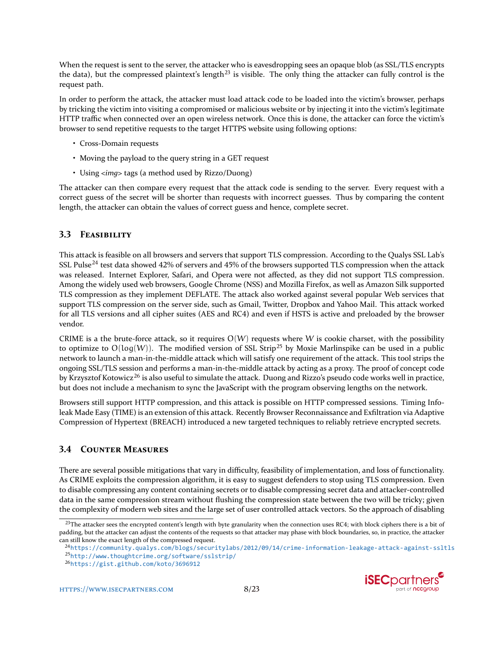When the request is sent to the server, the attacker who is eavesdropping sees an opaque blob (as SSL/TLS encrypts the data), but the compressed plaintext's length<sup>[23](#page-7-0)</sup> is visible. The only thing the attacker can fully control is the request path.

In order to perform the attack, the attacker must load attack code to be loaded into the victim's browser, perhaps by tricking the victim into visiting a compromised or malicious website or by injecting it into the victim's legitimate HTTP traffic when connected over an open wireless network. Once this is done, the attacker can force the victim's browser to send repetitive requests to the target HTTPS website using following options:

- Cross-Domain requests
- Moving the payload to the query string in a GET request
- Using *<img>* tags (a method used by Rizzo/Duong)

The attacker can then compare every request that the attack code is sending to the server. Every request with a correct guess of the secret will be shorter than requests with incorrect guesses. Thus by comparing the content length, the attacker can obtain the values of correct guess and hence, complete secret.

# **3.3 FEASIBILITY**

This attack is feasible on all browsers and servers that support TLS compression. According to the Qualys SSL Lab's SSL Pulse<sup>[24](#page-7-1)</sup> test data showed 42% of servers and 45% of the browsers supported TLS compression when the attack was released. Internet Explorer, Safari, and Opera were not affected, as they did not support TLS compression. Among the widely used web browsers, Google Chrome (NSS) and Mozilla Firefox, as well as Amazon Silk supported TLS compression as they implement DEFLATE. The attack also worked against several popular Web services that support TLS compression on the server side, such as Gmail, Twitter, Dropbox and Yahoo Mail. This attack worked for all TLS versions and all cipher suites (AES and RC4) and even if HSTS is active and preloaded by the browser vendor.

CRIME is a the brute-force attack, so it requires  $O(W)$  requests where W is cookie charset, with the possibility to optimize to  $O(log(W))$ . The modified version of SSL Strip<sup>[25](#page-7-2)</sup> by Moxie Marlinspike can be used in a public network to launch a man-in-the-middle attack which will satisfy one requirement of the attack. This tool strips the ongoing SSL/TLS session and performs a man-in-the-middle attack by acting as a proxy. The proof of concept code by Krzysztof Kotowicz<sup>[26](#page-7-3)</sup> is also useful to simulate the attack. Duong and Rizzo's pseudo code works well in practice, but does not include a mechanism to sync the JavaScript with the program observing lengths on the network.

Browsers still support HTTP compression, and this attack is possible on HTTP compressed sessions. Timing Infoleak Made Easy (TIME) is an extension of this attack. Recently Browser Reconnaissance and Exfiltration via Adaptive Compression of Hypertext (BREACH) introduced a new targeted techniques to reliably retrieve encrypted secrets.

# **3.4 COUNTER MEASURES**

There are several possible mitigations that vary in difficulty, feasibility of implementation, and loss of functionality. As CRIME exploits the compression algorithm, it is easy to suggest defenders to stop using TLS compression. Even to disable compressing any content containing secrets or to disable compressing secret data and attacker-controlled data in the same compression stream without flushing the compression state between the two will be tricky; given the complexity of modern web sites and the large set of user controlled attack vectors. So the approach of disabling



<span id="page-7-0"></span><sup>&</sup>lt;sup>23</sup>The attacker sees the encrypted content's length with byte granularity when the connection uses RC4; with block ciphers there is a bit of padding, but the attacker can adjust the contents of the requests so that attacker may phase with block boundaries, so, in practice, the attacker can still know the exact length of the compressed request.

<span id="page-7-2"></span><span id="page-7-1"></span><sup>24</sup><https://community.qualys.com/blogs/securitylabs/2012/09/14/crime-information-leakage-attack-against-ssltls> <sup>25</sup><http://www.thoughtcrime.org/software/sslstrip/>

<span id="page-7-3"></span><sup>26</sup><https://gist.github.com/koto/3696912>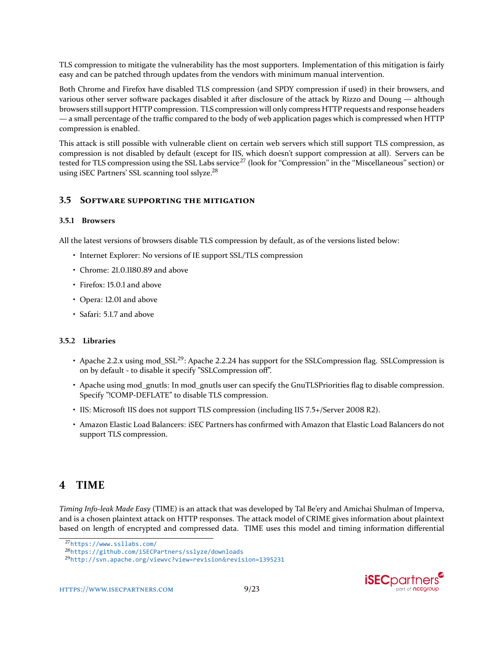TLS compression to mitigate the vulnerability has the most supporters. Implementation of this mitigation is fairly easy and can be patched through updates from the vendors with minimum manual intervention.

Both Chrome and Firefox have disabled TLS compression (and SPDY compression if used) in their browsers, and various other server software packages disabled it after disclosure of the attack by Rizzo and Doung — although browsers still support HTTP compression. TLS compression will only compress HTTP requests and response headers — a small percentage of the traffic compared to the body of web application pages which is compressed when HTTP compression is enabled.

This attack is still possible with vulnerable client on certain web servers which still support TLS compression, as compression is not disabled by default (except for IIS, which doesn't support compression at all). Servers can be tested for TLS compression using the SSL Labs service<sup>[27](#page-8-0)</sup> (look for "Compression" in the "Miscellaneous" section) or using iSEC Partners' SSL scanning tool sslyze.[28](#page-8-1)

### **3.5 SOFTWARE SUPPORTING THE MITIGATION**

#### **3.5.1 Browsers**

All the latest versions of browsers disable TLS compression by default, as of the versions listed below:

- Internet Explorer: No versions of IE support SSL/TLS compression
- Chrome: 21.0.1180.89 and above
- Firefox: 15.0.1 and above
- Opera: 12.01 and above
- Safari: 5.1.7 and above

#### **3.5.2 Libraries**

- Apache 2.2.x using mod\_SSL<sup>[29](#page-8-2)</sup>: Apache 2.2.24 has support for the SSLCompression flag. SSLCompression is on by default - to disable it specify "SSLCompression off".
- Apache using mod\_gnutls: In mod\_gnutls user can specify the GnuTLSPriorities flag to disable compression. Specify "!COMP-DEFLATE" to disable TLS compression.
- IIS: Microsoft IIS does not support TLS compression (including IIS 7.5+/Server 2008 R2).
- Amazon Elastic Load Balancers: iSEC Partners has confirmed with Amazon that Elastic Load Balancers do not support TLS compression.

# **4 TIME**

*Timing Info-leak Made Easy* (TIME) is an attack that was developed by Tal Be'ery and Amichai Shulman of Imperva, and is a chosen plaintext attack on HTTP responses. The attack model of CRIME gives information about plaintext based on length of encrypted and compressed data. TIME uses this model and timing information differential

<sup>29</sup>[http://svn.apache.org/viewvc?view=revision](http://svn.apache.org/viewvc?view=revision&revision=1395231)&revision=1395231





<span id="page-8-0"></span><sup>27</sup><https://www.ssllabs.com/>

<span id="page-8-2"></span><span id="page-8-1"></span><sup>28</sup><https://github.com/iSECPartners/sslyze/downloads>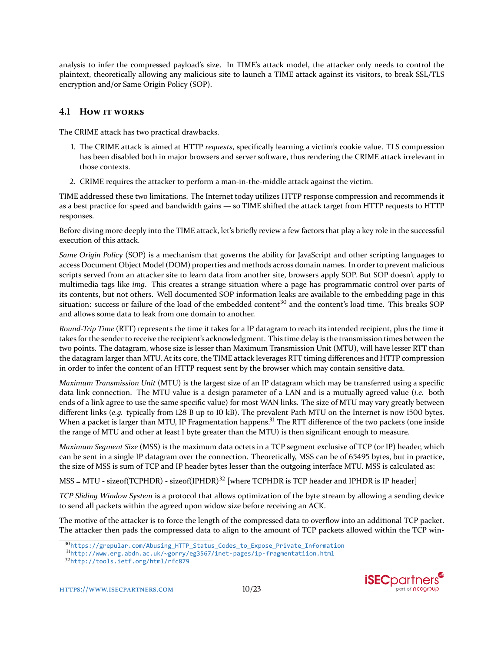analysis to infer the compressed payload's size. In TIME's attack model, the attacker only needs to control the plaintext, theoretically allowing any malicious site to launch a TIME attack against its visitors, to break SSL/TLS encryption and/or Same Origin Policy (SOP).

# **4.1 HOW IT WORKS**

The CRIME attack has two practical drawbacks.

- 1. The CRIME attack is aimed at HTTP *requests*, specifically learning a victim's cookie value. TLS compression has been disabled both in major browsers and server software, thus rendering the CRIME attack irrelevant in those contexts.
- 2. CRIME requires the attacker to perform a man-in-the-middle attack against the victim.

TIME addressed these two limitations. The Internet today utilizes HTTP response compression and recommends it as a best practice for speed and bandwidth gains — so TIME shifted the attack target from HTTP requests to HTTP responses.

Before diving more deeply into the TIME attack, let's briefly review a few factors that play a key role in the successful execution of this attack.

*Same Origin Policy* (SOP) is a mechanism that governs the ability for JavaScript and other scripting languages to access Document Object Model (DOM) properties and methods across domain names. In order to prevent malicious scripts served from an attacker site to learn data from another site, browsers apply SOP. But SOP doesn't apply to multimedia tags like *img*. This creates a strange situation where a page has programmatic control over parts of its contents, but not others. Well documented SOP information leaks are available to the embedding page in this situation: success or failure of the load of the embedded content<sup>[30](#page-9-0)</sup> and the content's load time. This breaks SOP and allows some data to leak from one domain to another.

*Round-Trip Time* (RTT) represents the time it takes for a IP datagram to reach its intended recipient, plus the time it takes for the sender to receive the recipient's acknowledgment. This time delay is the transmission times between the two points. The datagram, whose size is lesser than Maximum Transmission Unit (MTU), will have lesser RTT than the datagram larger than MTU. At its core, the TIME attack leverages RTT timing differences and HTTP compression in order to infer the content of an HTTP request sent by the browser which may contain sensitive data.

*Maximum Transmission Unit* (MTU) is the largest size of an IP datagram which may be transferred using a specific data link connection. The MTU value is a design parameter of a LAN and is a mutually agreed value (*i.e.* both ends of a link agree to use the same specific value) for most WAN links. The size of MTU may vary greatly between different links (*e.g.* typically from 128 B up to 10 kB). The prevalent Path MTU on the Internet is now 1500 bytes. When a packet is larger than MTU, IP Fragmentation happens.<sup>[31](#page-9-1)</sup> The RTT difference of the two packets (one inside the range of MTU and other at least 1 byte greater than the MTU) is then significant enough to measure.

*Maximum Segment Size* (MSS) is the maximum data octets in a TCP segment exclusive of TCP (or IP) header, which can be sent in a single IP datagram over the connection. Theoretically, MSS can be of 65495 bytes, but in practice, the size of MSS is sum of TCP and IP header bytes lesser than the outgoing interface MTU. MSS is calculated as:

 $MSS = MTU - sizeof(TCPHDR) - sizeof(IPHDR)<sup>32</sup>$  $MSS = MTU - sizeof(TCPHDR) - sizeof(IPHDR)<sup>32</sup>$  $MSS = MTU - sizeof(TCPHDR) - sizeof(IPHDR)<sup>32</sup>$  [where TCPHDR is TCP header and IPHDR is IP header]

*TCP Sliding Window System* is a protocol that allows optimization of the byte stream by allowing a sending device to send all packets within the agreed upon widow size before receiving an ACK.

The motive of the attacker is to force the length of the compressed data to overflow into an additional TCP packet. The attacker then pads the compressed data to align to the amount of TCP packets allowed within the TCP win-



<span id="page-9-0"></span><sup>30</sup>[https://grepular.com/Abusing\\_HTTP\\_Status\\_Codes\\_to\\_Expose\\_Private\\_Information](https://grepular.com/Abusing_HTTP_Status_Codes_to_Expose_Private_Information)

<span id="page-9-1"></span><sup>31</sup><http://www.erg.abdn.ac.uk/~gorry/eg3567/inet-pages/ip-fragmentatiion.html>

<span id="page-9-2"></span><sup>32</sup><http://tools.ietf.org/html/rfc879>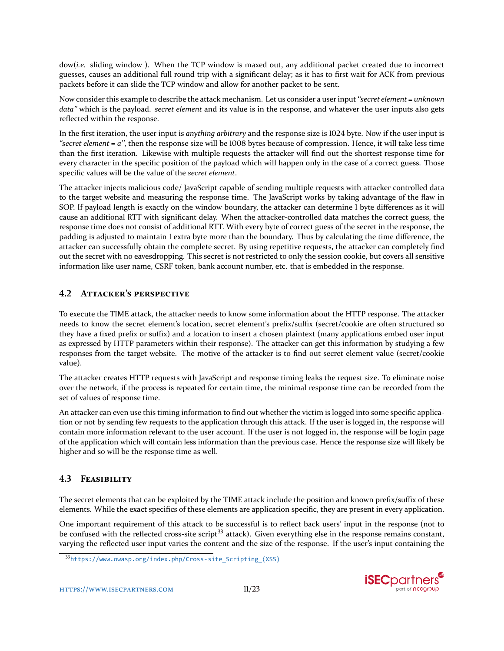dow(*i.e.* sliding window ). When the TCP window is maxed out, any additional packet created due to incorrect guesses, causes an additional full round trip with a significant delay; as it has to first wait for ACK from previous packets before it can slide the TCP window and allow for another packet to be sent.

Now consider this example to describe the attack mechanism. Let us consider a user input *``secret element = unknown data''* which is the payload. *secret element* and its value is in the response, and whatever the user inputs also gets reflected within the response.

In the first iteration, the user input is *anything arbitrary* and the response size is 1024 byte. Now if the user input is *``secret element = a''*, then the response size will be 1008 bytes because of compression. Hence, it will take less time than the first iteration. Likewise with multiple requests the attacker will find out the shortest response time for every character in the specific position of the payload which will happen only in the case of a correct guess. Those specific values will be the value of the *secret element*.

The attacker injects malicious code/ JavaScript capable of sending multiple requests with attacker controlled data to the target website and measuring the response time. The JavaScript works by taking advantage of the flaw in SOP. If payload length is exactly on the window boundary, the attacker can determine 1 byte differences as it will cause an additional RTT with significant delay. When the attacker-controlled data matches the correct guess, the response time does not consist of additional RTT. With every byte of correct guess of the secret in the response, the padding is adjusted to maintain 1 extra byte more than the boundary. Thus by calculating the time difference, the attacker can successfully obtain the complete secret. By using repetitive requests, the attacker can completely find out the secret with no eavesdropping. This secret is not restricted to only the session cookie, but covers all sensitive information like user name, CSRF token, bank account number, etc. that is embedded in the response.

# **4.2 ATTACKER'S PERSPECTIVE**

To execute the TIME attack, the attacker needs to know some information about the HTTP response. The attacker needs to know the secret element's location, secret element's prefix/suffix (secret/cookie are often structured so they have a fixed prefix or suffix) and a location to insert a chosen plaintext (many applications embed user input as expressed by HTTP parameters within their response). The attacker can get this information by studying a few responses from the target website. The motive of the attacker is to find out secret element value (secret/cookie value).

The attacker creates HTTP requests with JavaScript and response timing leaks the request size. To eliminate noise over the network, if the process is repeated for certain time, the minimal response time can be recorded from the set of values of response time.

An attacker can even use this timing information to find out whether the victim is logged into some specific application or not by sending few requests to the application through this attack. If the user is logged in, the response will contain more information relevant to the user account. If the user is not logged in, the response will be login page of the application which will contain less information than the previous case. Hence the response size will likely be higher and so will be the response time as well.

# **4.3 FEASIBILITY**

The secret elements that can be exploited by the TIME attack include the position and known prefix/suffix of these elements. While the exact specifics of these elements are application specific, they are present in every application.

One important requirement of this attack to be successful is to reflect back users' input in the response (not to be confused with the reflected cross-site script<sup>[33](#page-10-0)</sup> attack). Given everything else in the response remains constant, varying the reflected user input varies the content and the size of the response. If the user's input containing the



<span id="page-10-0"></span><sup>33</sup>[https://www.owasp.org/index.php/Cross-site\\_Scripting\\_\(XSS\)](https://www.owasp.org/index.php/Cross-site_Scripting_(XSS))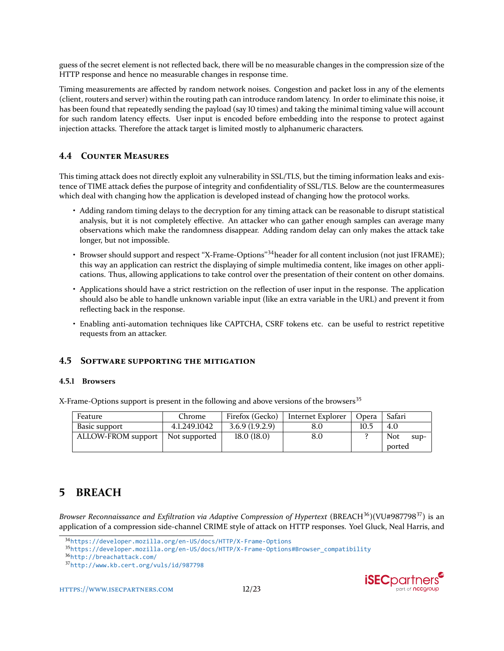guess of the secret element is not reflected back, there will be no measurable changes in the compression size of the HTTP response and hence no measurable changes in response time.

Timing measurements are affected by random network noises. Congestion and packet loss in any of the elements (client, routers and server) within the routing path can introduce random latency. In order to eliminate this noise, it has been found that repeatedly sending the payload (say 10 times) and taking the minimal timing value will account for such random latency effects. User input is encoded before embedding into the response to protect against injection attacks. Therefore the attack target is limited mostly to alphanumeric characters.

# **4.4 COUNTER MEASURES**

This timing attack does not directly exploit any vulnerability in SSL/TLS, but the timing information leaks and existence of TIME attack defies the purpose of integrity and confidentiality of SSL/TLS. Below are the countermeasures which deal with changing how the application is developed instead of changing how the protocol works.

- Adding random timing delays to the decryption for any timing attack can be reasonable to disrupt statistical analysis, but it is not completely effective. An attacker who can gather enough samples can average many observations which make the randomness disappear. Adding random delay can only makes the attack take longer, but not impossible.
- Browser should support and respect "X-Frame-Options"<sup>[34](#page-11-0)</sup>header for all content inclusion (not just IFRAME); this way an application can restrict the displaying of simple multimedia content, like images on other applications. Thus, allowing applications to take control over the presentation of their content on other domains.
- Applications should have a strict restriction on the reflection of user input in the response. The application should also be able to handle unknown variable input (like an extra variable in the URL) and prevent it from reflecting back in the response.
- Enabling anti-automation techniques like CAPTCHA, CSRF tokens etc. can be useful to restrict repetitive requests from an attacker.

### **4.5 SOFTWARE SUPPORTING THE MITIGATION**

#### **4.5.1 Browsers**

X-Frame-Options support is present in the following and above versions of the browsers<sup>[35](#page-11-1)</sup>

| Feature            | Chrome        | Firefox (Gecko) | Internet Explorer | Opera | Safari |          |
|--------------------|---------------|-----------------|-------------------|-------|--------|----------|
| Basic support      | 4.1.249.1042  | 3.6.9(1.9.2.9)  | 8.0               | 10.5  | 4.0    |          |
| ALLOW-FROM support | Not supported | 18.0(18.0)      | 8.0               |       | Not    | $\sup$ - |
|                    |               |                 |                   |       | ported |          |

# **5 BREACH**

*Browser Reconnaissance and Exfiltration via Adaptive Compression of Hypertext* (BREACH[36](#page-11-2))(VU#987798[37](#page-11-3)) is an application of a compression side-channel CRIME style of attack on HTTP responses. Yoel Gluck, Neal Harris, and

<sup>37</sup><http://www.kb.cert.org/vuls/id/987798>





<span id="page-11-0"></span><sup>34</sup><https://developer.mozilla.org/en-US/docs/HTTP/X-Frame-Options>

<span id="page-11-1"></span><sup>35</sup>[https://developer.mozilla.org/en-US/docs/HTTP/X-Frame-Options#Browser\\_compatibility](https://developer.mozilla.org/en-US/docs/HTTP/X-Frame-Options#Browser_compatibility)

<span id="page-11-3"></span><span id="page-11-2"></span><sup>36</sup><http://breachattack.com/>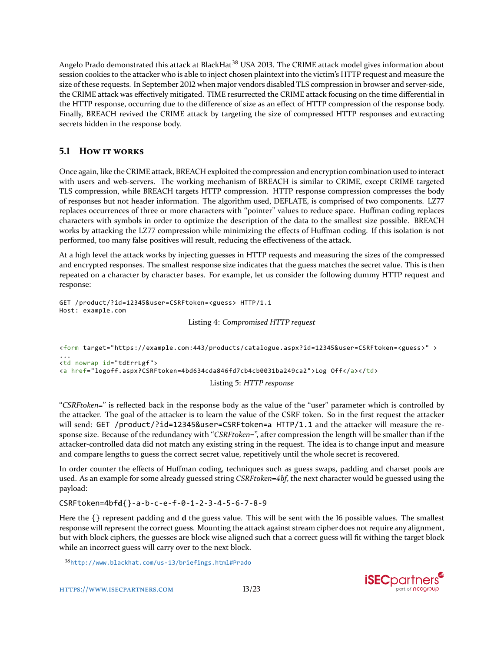Angelo Prado demonstrated this attack at BlackHat<sup>[38](#page-12-0)</sup> USA 2013. The CRIME attack model gives information about session cookies to the attacker who is able to inject chosen plaintext into the victim's HTTP request and measure the size of these requests. In September 2012 when major vendors disabled TLS compression in browser and server-side, the CRIME attack was effectively mitigated. TIME resurrected the CRIME attack focusing on the time differential in the HTTP response, occurring due to the difference of size as an effect of HTTP compression of the response body. Finally, BREACH revived the CRIME attack by targeting the size of compressed HTTP responses and extracting secrets hidden in the response body.

# **5.1 HOW IT WORKS**

Once again, like the CRIME attack, BREACH exploited the compression and encryption combination used to interact with users and web-servers. The working mechanism of BREACH is similar to CRIME, except CRIME targeted TLS compression, while BREACH targets HTTP compression. HTTP response compression compresses the body of responses but not header information. The algorithm used, DEFLATE, is comprised of two components. LZ77 replaces occurrences of three or more characters with "pointer" values to reduce space. Huffman coding replaces characters with symbols in order to optimize the description of the data to the smallest size possible. BREACH works by attacking the LZ77 compression while minimizing the effects of Huffman coding. If this isolation is not performed, too many false positives will result, reducing the effectiveness of the attack.

At a high level the attack works by injecting guesses in HTTP requests and measuring the sizes of the compressed and encrypted responses. The smallest response size indicates that the guess matches the secret value. This is then repeated on a character by character bases. For example, let us consider the following dummy HTTP request and response:

```
GET /product/?id=12345&user=CSRFtoken=<guess> HTTP/1.1
Host: example.com
```
Listing 4: *Compromised HTTP request*

```
<form target="https://example.com:443/products/catalogue.aspx?id=12345&user=CSRFtoken=<guess>" >
...
<td nowrap id="tdErrLgf">
<a href="logoff.aspx?CSRFtoken=4bd634cda846fd7cb4cb0031ba249ca2">Log Off</a></td>
                                       Listing 5: HTTP response
```
"CSRFtoken=" is reflected back in the response body as the value of the "user" parameter which is controlled by the attacker. The goal of the attacker is to learn the value of the CSRF token. So in the first request the attacker will send: GET /product/?id=12345&user=CSRFtoken=**a** HTTP/1.1 and the attacker will measure the response size. Because of the redundancy with "*CSRFtoken=*", after compression the length will be smaller than if the attacker-controlled data did not match any existing string in the request. The idea is to change input and measure and compare lengths to guess the correct secret value, repetitively until the whole secret is recovered.

In order counter the effects of Huffman coding, techniques such as guess swaps, padding and charset pools are used. As an example for some already guessed string *CSRFtoken=4bf*, the next character would be guessed using the payload:

#### CSRFtoken=4bf**d**{}-a-b-c-e-f-0-1-2-3-4-5-6-7-8-9

Here the {} represent padding and **d** the guess value. This will be sent with the 16 possible values. The smallest response will represent the correct guess. Mounting the attack against stream cipher does not require any alignment, but with block ciphers, the guesses are block wise aligned such that a correct guess will fit withing the target block while an incorrect guess will carry over to the next block.



<span id="page-12-0"></span><sup>38</sup><http://www.blackhat.com/us-13/briefings.html#Prado>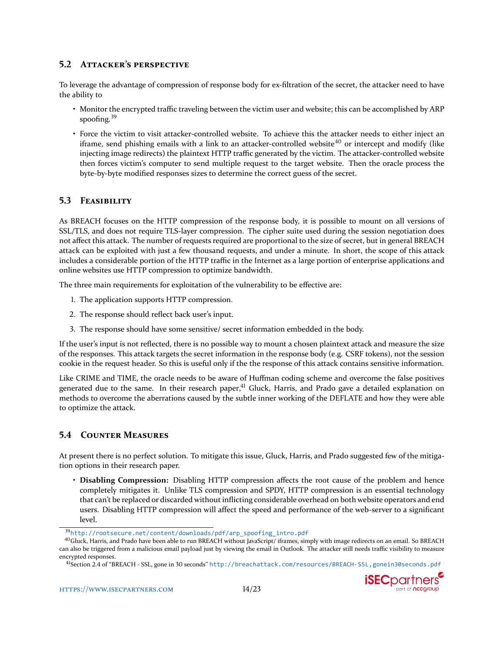### **5.2 ATTACKER'S PERSPECTIVE**

To leverage the advantage of compression of response body for ex-filtration of the secret, the attacker need to have the ability to

- Monitor the encrypted traffic traveling between the victim user and website; this can be accomplished by ARP spoofing. $39$
- Force the victim to visit attacker-controlled website. To achieve this the attacker needs to either inject an iframe, send phishing emails with a link to an attacker-controlled website<sup>[40](#page-13-1)</sup> or intercept and modify (like injecting image redirects) the plaintext HTTP traffic generated by the victim. The attacker-controlled website then forces victim's computer to send multiple request to the target website. Then the oracle process the byte-by-byte modified responses sizes to determine the correct guess of the secret.

### **5.3 FEASIBILITY**

As BREACH focuses on the HTTP compression of the response body, it is possible to mount on all versions of SSL/TLS, and does not require TLS-layer compression. The cipher suite used during the session negotiation does not affect this attack. The number of requests required are proportional to the size of secret, but in general BREACH attack can be exploited with just a few thousand requests, and under a minute. In short, the scope of this attack includes a considerable portion of the HTTP traffic in the Internet as a large portion of enterprise applications and online websites use HTTP compression to optimize bandwidth.

The three main requirements for exploitation of the vulnerability to be effective are:

- 1. The application supports HTTP compression.
- 2. The response should reflect back user's input.
- 3. The response should have some sensitive/ secret information embedded in the body.

If the user's input is not reflected, there is no possible way to mount a chosen plaintext attack and measure the size of the responses. This attack targets the secret information in the response body (e.g. CSRF tokens), not the session cookie in the request header. So this is useful only if the the response of this attack contains sensitive information.

Like CRIME and TIME, the oracle needs to be aware of Huffman coding scheme and overcome the false positives generated due to the same. In their research paper, $41$  Gluck, Harris, and Prado gave a detailed explanation on methods to overcome the aberrations caused by the subtle inner working of the DEFLATE and how they were able to optimize the attack.

### **5.4 COUNTER MEASURES**

At present there is no perfect solution. To mitigate this issue, Gluck, Harris, and Prado suggested few of the mitigation options in their research paper.

• **Disabling Compression:** Disabling HTTP compression affects the root cause of the problem and hence completely mitigates it. Unlike TLS compression and SPDY, HTTP compression is an essential technology that can't be replaced or discarded without inflicting considerable overhead on both website operators and end users. Disabling HTTP compression will affect the speed and performance of the web-server to a significant level.

<span id="page-13-1"></span><span id="page-13-0"></span><sup>39</sup>[http://rootsecure.net/content/downloads/pdf/arp\\_spoofing\\_intro.pdf](http://rootsecure.net/content/downloads/pdf/arp_spoofing_intro.pdf)

 $40$ Gluck, Harris, and Prado have been able to run BREACH without JavaScript/ iframes, simply with image redirects on an email. So BREACH can also be triggered from a malicious email payload just by viewing the email in Outlook. The attacker still needs traffic visibility to measure encrypted responses.

<span id="page-13-2"></span><sup>41</sup> Section 2.4 of "BREACH - SSL, gone in 30 seconds" [http://breachattack.com/resources/BREACH-SSL,gonein30seconds.pdf](http://breachattack.com/resources/BREACH - SSL, gone in 30 seconds.pdf)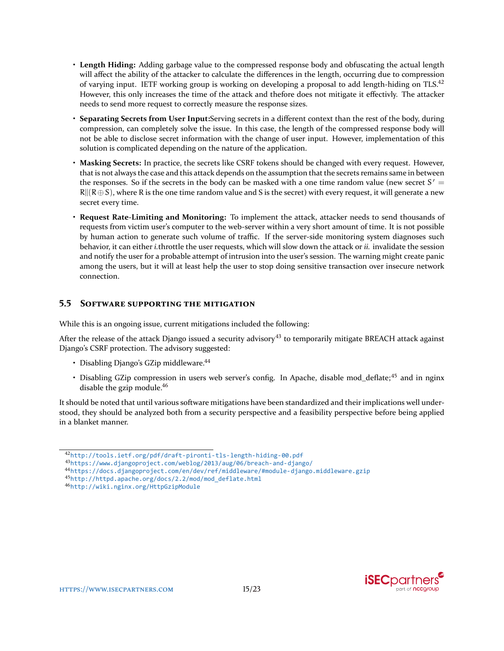- **Length Hiding:** Adding garbage value to the compressed response body and obfuscating the actual length will affect the ability of the attacker to calculate the differences in the length, occurring due to compression of varying input. IETF working group is working on developing a proposal to add length-hiding on TLS.[42](#page-14-0) However, this only increases the time of the attack and thefore does not mitigate it effectivly. The attacker needs to send more request to correctly measure the response sizes.
- **Separating Secrets from User Input:**Serving secrets in a different context than the rest of the body, during compression, can completely solve the issue. In this case, the length of the compressed response body will not be able to disclose secret information with the change of user input. However, implementation of this solution is complicated depending on the nature of the application.
- **Masking Secrets:** In practice, the secrets like CSRF tokens should be changed with every request. However, that is not always the case and this attack depends on the assumption that the secrets remains same in between the responses. So if the secrets in the body can be masked with a one time random value (new secret  $S' =$  $R||(R\oplus S)$ , where R is the one time random value and S is the secret) with every request, it will generate a new secret every time.
- **Request Rate-Limiting and Monitoring:** To implement the attack, attacker needs to send thousands of requests from victim user's computer to the web-server within a very short amount of time. It is not possible by human action to generate such volume of traffic. If the server-side monitoring system diagnoses such behavior, it can either *i.*throttle the user requests, which will slow down the attack or *ii.* invalidate the session and notify the user for a probable attempt of intrusion into the user's session. The warning might create panic among the users, but it will at least help the user to stop doing sensitive transaction over insecure network connection.

### **5.5 SOFTWARE SUPPORTING THE MITIGATION**

While this is an ongoing issue, current mitigations included the following:

After the release of the attack Django issued a security advisory<sup>[43](#page-14-1)</sup> to temporarily mitigate BREACH attack against Django's CSRF protection. The advisory suggested:

- Disabling Diango's GZip middleware.<sup>[44](#page-14-2)</sup>
- Disabling GZip compression in users web server's config. In Apache, disable mod deflate;<sup>[45](#page-14-3)</sup> and in nginx disable the gzip module.<sup>[46](#page-14-4)</sup>

It should be noted that until various software mitigations have been standardized and their implications well understood, they should be analyzed both from a security perspective and a feasibility perspective before being applied in a blanket manner.



<span id="page-14-0"></span><sup>42</sup><http://tools.ietf.org/pdf/draft-pironti-tls-length-hiding-00.pdf>

<span id="page-14-1"></span><sup>43</sup><https://www.djangoproject.com/weblog/2013/aug/06/breach-and-django/>

<span id="page-14-2"></span><sup>44</sup><https://docs.djangoproject.com/en/dev/ref/middleware/#module-django.middleware.gzip>

<span id="page-14-3"></span><sup>45</sup>[http://httpd.apache.org/docs/2.2/mod/mod\\_deflate.html](http://httpd.apache.org/docs/2.2/mod/mod_deflate.html)

<span id="page-14-4"></span><sup>46</sup><http://wiki.nginx.org/HttpGzipModule>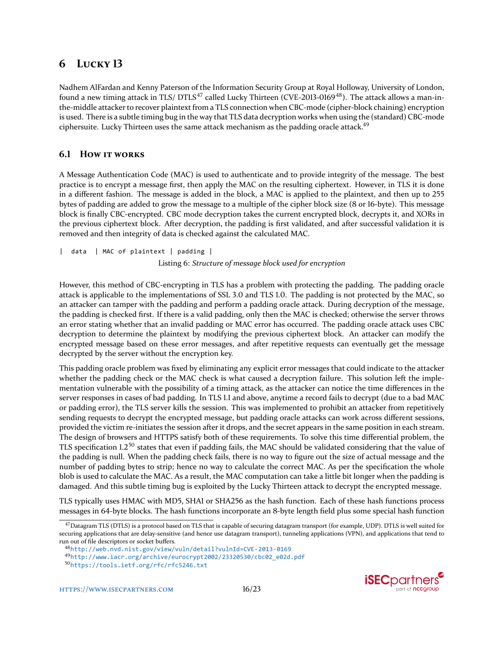# **6 LUCKY 13**

Nadhem AlFardan and Kenny Paterson of the Information Security Group at Royal Holloway, University of London, found a new timing attack in TLS/ DTLS<sup>[47](#page-15-0)</sup> called Lucky Thirteen (CVE-2013-0169<sup>[48](#page-15-1)</sup>). The attack allows a man-inthe-middle attacker to recover plaintext from a TLS connection when CBC-mode (cipher-block chaining) encryption is used. There is a subtle timing bug in the way that TLS data decryption works when using the (standard) CBC-mode ciphersuite. Lucky Thirteen uses the same attack mechanism as the padding oracle attack.<sup>[49](#page-15-2)</sup>

# **6.1 HOW IT WORKS**

A Message Authentication Code (MAC) is used to authenticate and to provide integrity of the message. The best practice is to encrypt a message first, then apply the MAC on the resulting ciphertext. However, in TLS it is done in a different fashion. The message is added in the block, a MAC is applied to the plaintext, and then up to 255 bytes of padding are added to grow the message to a multiple of the cipher block size (8 or 16-byte). This message block is finally CBC-encrypted. CBC mode decryption takes the current encrypted block, decrypts it, and XORs in the previous ciphertext block. After decryption, the padding is first validated, and after successful validation it is removed and then integrity of data is checked against the calculated MAC.

```
| data | MAC of plaintext | padding |
                           Listing 6: Structure of message block used for encryption
```
However, this method of CBC-encrypting in TLS has a problem with protecting the padding. The padding oracle attack is applicable to the implementations of SSL 3.0 and TLS 1.0. The padding is not protected by the MAC, so an attacker can tamper with the padding and perform a padding oracle attack. During decryption of the message, the padding is checked first. If there is a valid padding, only then the MAC is checked; otherwise the server throws an error stating whether that an invalid padding or MAC error has occurred. The padding oracle attack uses CBC decryption to determine the plaintext by modifying the previous ciphertext block. An attacker can modify the encrypted message based on these error messages, and after repetitive requests can eventually get the message decrypted by the server without the encryption key.

This padding oracle problem was fixed by eliminating any explicit error messages that could indicate to the attacker whether the padding check or the MAC check is what caused a decryption failure. This solution left the implementation vulnerable with the possibility of a timing attack, as the attacker can notice the time differences in the server responses in cases of bad padding. In TLS 1.1 and above, anytime a record fails to decrypt (due to a bad MAC or padding error), the TLS server kills the session. This was implemented to prohibit an attacker from repetitively sending requests to decrypt the encrypted message, but padding oracle attacks can work across different sessions, provided the victim re-initiates the session after it drops, and the secret appears in the same position in each stream. The design of browsers and HTTPS satisfy both of these requirements. To solve this time differential problem, the TLS specification 1.2<sup>[50](#page-15-3)</sup> states that even if padding fails, the MAC should be validated considering that the value of the padding is null. When the padding check fails, there is no way to figure out the size of actual message and the number of padding bytes to strip; hence no way to calculate the correct MAC. As per the specification the whole blob is used to calculate the MAC. As a result, the MAC computation can take a little bit longer when the padding is damaged. And this subtle timing bug is exploited by the Lucky Thirteen attack to decrypt the encrypted message.

TLS typically uses HMAC with MD5, SHA1 or SHA256 as the hash function. Each of these hash functions process messages in 64-byte blocks. The hash functions incorporate an 8-byte length field plus some special hash function



<span id="page-15-0"></span> $^{47}$ Datagram TLS (DTLS) is a protocol based on TLS that is capable of securing datagram transport (for example, UDP). DTLS is well suited for securing applications that are delay-sensitive (and hence use datagram transport), tunneling applications (VPN), and applications that tend to run out of file descriptors or socket buffers.

<span id="page-15-1"></span><sup>48</sup><http://web.nvd.nist.gov/view/vuln/detail?vulnId=CVE-2013-0169>

<span id="page-15-2"></span><sup>49</sup>[http://www.iacr.org/archive/eurocrypt2002/23320530/cbc02\\_e02d.pdf](http://www.iacr.org/archive/eurocrypt2002/23320530/cbc02_e02d.pdf)

<span id="page-15-3"></span><sup>50</sup><https://tools.ietf.org/rfc/rfc5246.txt>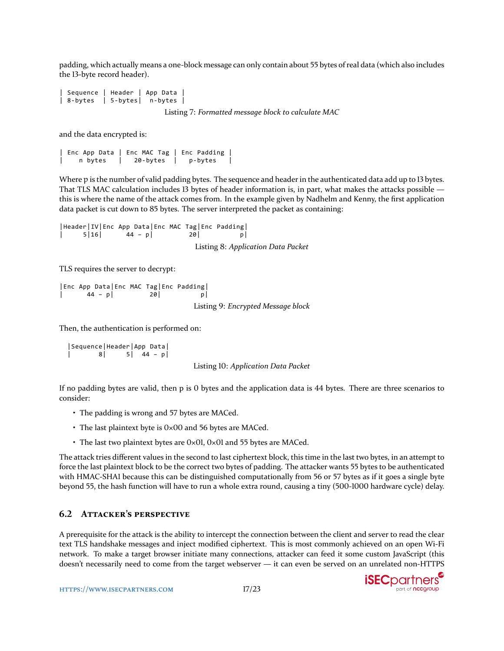padding, which actually means a one-block message can only contain about 55 bytes of real data (which also includes the 13-byte record header).

```
Sequence | Header | App Data
| 8-bytes | 5-bytes| n-bytes |
```
Listing 7: *Formatted message block to calculate MAC*

and the data encrypted is:

| Enc App Data | Enc MAC Tag | Enc Padding | | n bytes | 20-bytes | p-bytes |

Where p is the number of valid padding bytes. The sequence and header in the authenticated data add up to 13 bytes. That TLS MAC calculation includes 13 bytes of header information is, in part, what makes the attacks possible this is where the name of the attack comes from. In the example given by Nadhelm and Kenny, the first application data packet is cut down to 85 bytes. The server interpreted the packet as containing:

|Header|IV|Enc App Data|Enc MAC Tag|Enc Padding|  $|44 - p|$  20| Listing 8: *Application Data Packet*

TLS requires the server to decrypt:

```
|Enc App Data|Enc MAC Tag|Enc Padding|
      |44 - p| 20
                                 Listing 9: Encrypted Message block
```
Then, the authentication is performed on:

|Sequence|Header|App Data| | 8| 5| 44 – p|

Listing 10: *Application Data Packet*

If no padding bytes are valid, then p is 0 bytes and the application data is 44 bytes. There are three scenarios to consider:

- The padding is wrong and 57 bytes are MACed.
- The last plaintext byte is 0×00 and 56 bytes are MACed.
- The last two plaintext bytes are 0×01, 0×01 and 55 bytes are MACed.

The attack tries different values in the second to last ciphertext block, this time in the last two bytes, in an attempt to force the last plaintext block to be the correct two bytes of padding. The attacker wants 55 bytes to be authenticated with HMAC-SHA1 because this can be distinguished computationally from 56 or 57 bytes as if it goes a single byte beyond 55, the hash function will have to run a whole extra round, causing a tiny (500-1000 hardware cycle) delay.

### **6.2 ATTACKER'S PERSPECTIVE**

A prerequisite for the attack is the ability to intercept the connection between the client and server to read the clear text TLS handshake messages and inject modified ciphertext. This is most commonly achieved on an open Wi-Fi network. To make a target browser initiate many connections, attacker can feed it some custom JavaScript (this doesn't necessarily need to come from the target webserver — it can even be served on an unrelated non-HTTPS

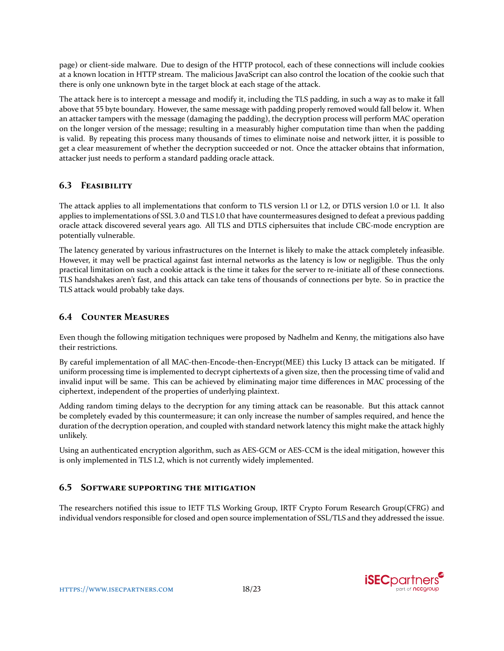page) or client-side malware. Due to design of the HTTP protocol, each of these connections will include cookies at a known location in HTTP stream. The malicious JavaScript can also control the location of the cookie such that there is only one unknown byte in the target block at each stage of the attack.

The attack here is to intercept a message and modify it, including the TLS padding, in such a way as to make it fall above that 55 byte boundary. However, the same message with padding properly removed would fall below it. When an attacker tampers with the message (damaging the padding), the decryption process will perform MAC operation on the longer version of the message; resulting in a measurably higher computation time than when the padding is valid. By repeating this process many thousands of times to eliminate noise and network jitter, it is possible to get a clear measurement of whether the decryption succeeded or not. Once the attacker obtains that information, attacker just needs to perform a standard padding oracle attack.

# **6.3 FEASIBILITY**

The attack applies to all implementations that conform to TLS version 1.1 or 1.2, or DTLS version 1.0 or 1.1. It also applies to implementations of SSL 3.0 and TLS 1.0 that have countermeasures designed to defeat a previous padding oracle attack discovered several years ago. All TLS and DTLS ciphersuites that include CBC-mode encryption are potentially vulnerable.

The latency generated by various infrastructures on the Internet is likely to make the attack completely infeasible. However, it may well be practical against fast internal networks as the latency is low or negligible. Thus the only practical limitation on such a cookie attack is the time it takes for the server to re-initiate all of these connections. TLS handshakes aren't fast, and this attack can take tens of thousands of connections per byte. So in practice the TLS attack would probably take days.

# **6.4 COUNTER MEASURES**

Even though the following mitigation techniques were proposed by Nadhelm and Kenny, the mitigations also have their restrictions.

By careful implementation of all MAC-then-Encode-then-Encrypt(MEE) this Lucky 13 attack can be mitigated. If uniform processing time is implemented to decrypt ciphertexts of a given size, then the processing time of valid and invalid input will be same. This can be achieved by eliminating major time differences in MAC processing of the ciphertext, independent of the properties of underlying plaintext.

Adding random timing delays to the decryption for any timing attack can be reasonable. But this attack cannot be completely evaded by this countermeasure; it can only increase the number of samples required, and hence the duration of the decryption operation, and coupled with standard network latency this might make the attack highly unlikely.

Using an authenticated encryption algorithm, such as AES-GCM or AES-CCM is the ideal mitigation, however this is only implemented in TLS 1.2, which is not currently widely implemented.

### **6.5 SOFTWARE SUPPORTING THE MITIGATION**

The researchers notified this issue to IETF TLS Working Group, IRTF Crypto Forum Research Group(CFRG) and individual vendors responsible for closed and open source implementation of SSL/TLS and they addressed the issue.

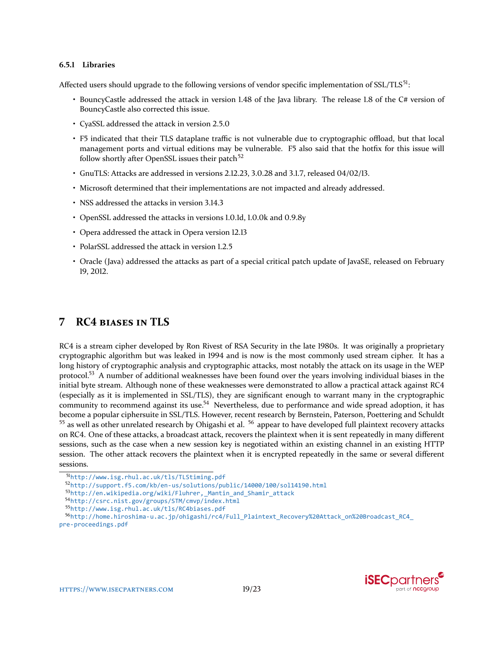#### **6.5.1 Libraries**

Affected users should upgrade to the following versions of vendor specific implementation of  $SSL/TLS^{51}$  $SSL/TLS^{51}$  $SSL/TLS^{51}$ :

- BouncyCastle addressed the attack in version 1.48 of the Java library. The release 1.8 of the C# version of BouncyCastle also corrected this issue.
- CyaSSL addressed the attack in version 2.5.0
- F5 indicated that their TLS dataplane traffic is not vulnerable due to cryptographic offload, but that local management ports and virtual editions may be vulnerable. F5 also said that the hotfix for this issue will follow shortly after OpenSSL issues their patch $52$
- GnuTLS: Attacks are addressed in versions 2.12.23, 3.0.28 and 3.1.7, released 04/02/13.
- Microsoft determined that their implementations are not impacted and already addressed.
- NSS addressed the attacks in version 3.14.3
- OpenSSL addressed the attacks in versions 1.0.1d, 1.0.0k and 0.9.8y
- Opera addressed the attack in Opera version 12.13
- PolarSSL addressed the attack in version 1.2.5
- Oracle (Java) addressed the attacks as part of a special critical patch update of JavaSE, released on February 19, 2012.

# **7 RC4 BIASES IN TLS**

RC4 is a stream cipher developed by Ron Rivest of RSA Security in the late 1980s. It was originally a proprietary cryptographic algorithm but was leaked in 1994 and is now is the most commonly used stream cipher. It has a long history of cryptographic analysis and cryptographic attacks, most notably the attack on its usage in the WEP protocol.[53](#page-18-2) A number of additional weaknesses have been found over the years involving individual biases in the initial byte stream. Although none of these weaknesses were demonstrated to allow a practical attack against RC4 (especially as it is implemented in SSL/TLS), they are significant enough to warrant many in the cryptographic community to recommend against its use.<sup>[54](#page-18-3)</sup> Nevertheless, due to performance and wide spread adoption, it has become a popular ciphersuite in SSL/TLS. However, recent research by Bernstein, Paterson, Poettering and Schuldt  $55$  as well as other unrelated research by Ohigashi et al.  $56$  appear to have developed full plaintext recovery attacks on RC4. One of these attacks, a broadcast attack, recovers the plaintext when it is sent repeatedly in many different sessions, such as the case when a new session key is negotiated within an existing channel in an existing HTTP session. The other attack recovers the plaintext when it is encrypted repeatedly in the same or several different sessions.

<span id="page-18-1"></span><sup>52</sup><http://support.f5.com/kb/en-us/solutions/public/14000/100/sol14190.html>

<span id="page-18-2"></span><sup>53</sup>[http://en.wikipedia.org/wiki/Fluhrer,\\_Mantin\\_and\\_Shamir\\_attack](http://en.wikipedia.org/wiki/Fluhrer,_Mantin_and_Shamir_attack)

<span id="page-18-3"></span><sup>54</sup><http://csrc.nist.gov/groups/STM/cmvp/index.html>



<span id="page-18-0"></span><sup>51</sup><http://www.isg.rhul.ac.uk/tls/TLStiming.pdf>

<span id="page-18-5"></span><span id="page-18-4"></span><sup>55</sup><http://www.isg.rhul.ac.uk/tls/RC4biases.pdf>

<sup>56</sup>[http://home.hiroshima-u.ac.jp/ohigashi/rc4/Full\\_Plaintext\\_Recovery%20Attack\\_on%20Broadcast\\_RC4\\_](http://home.hiroshima-u.ac.jp/ohigashi/rc4/Full_Plaintext_Recovery%20Attack_on%20Broadcast_RC4_pre-proceedings.pdf) [pre-proceedings.pdf](http://home.hiroshima-u.ac.jp/ohigashi/rc4/Full_Plaintext_Recovery%20Attack_on%20Broadcast_RC4_pre-proceedings.pdf)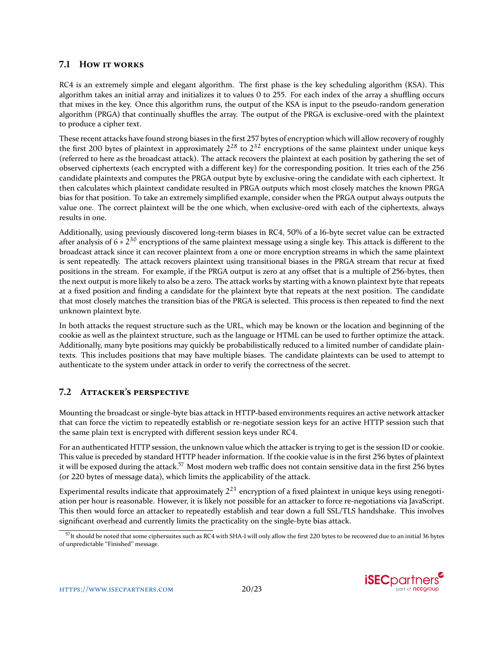### **7.1 HOW IT WORKS**

RC4 is an extremely simple and elegant algorithm. The first phase is the key scheduling algorithm (KSA). This algorithm takes an initial array and initializes it to values 0 to 255. For each index of the array a shuffling occurs that mixes in the key. Once this algorithm runs, the output of the KSA is input to the pseudo-random generation algorithm (PRGA) that continually shuffles the array. The output of the PRGA is exclusive-ored with the plaintext to produce a cipher text.

These recent attacks have found strong biases in the first 257 bytes of encryption which will allow recovery of roughly the first 200 bytes of plaintext in approximately  $2^{28}$  to  $2^{32}$  encryptions of the same plaintext under unique keys (referred to here as the broadcast attack). The attack recovers the plaintext at each position by gathering the set of observed ciphertexts (each encrypted with a different key) for the corresponding position. It tries each of the 256 candidate plaintexts and computes the PRGA output byte by exclusive-oring the candidate with each ciphertext. It then calculates which plaintext candidate resulted in PRGA outputs which most closely matches the known PRGA bias for that position. To take an extremely simplified example, consider when the PRGA output always outputs the value one. The correct plaintext will be the one which, when exclusive-ored with each of the ciphertexts, always results in one.

Additionally, using previously discovered long-term biases in RC4, 50% of a 16-byte secret value can be extracted after analysis of 6  $*$  2<sup>30</sup> encryptions of the same plaintext message using a single key. This attack is different to the broadcast attack since it can recover plaintext from a one or more encryption streams in which the same plaintext is sent repeatedly. The attack recovers plaintext using transitional biases in the PRGA stream that recur at fixed positions in the stream. For example, if the PRGA output is zero at any offset that is a multiple of 256-bytes, then the next output is more likely to also be a zero. The attack works by starting with a known plaintext byte that repeats at a fixed position and finding a candidate for the plaintext byte that repeats at the next position. The candidate that most closely matches the transition bias of the PRGA is selected. This process is then repeated to find the next unknown plaintext byte.

In both attacks the request structure such as the URL, which may be known or the location and beginning of the cookie as well as the plaintext structure, such as the language or HTML can be used to further optimize the attack. Additionally, many byte positions may quickly be probabilistically reduced to a limited number of candidate plaintexts. This includes positions that may have multiple biases. The candidate plaintexts can be used to attempt to authenticate to the system under attack in order to verify the correctness of the secret.

# **7.2 ATTACKER'S PERSPECTIVE**

Mounting the broadcast or single-byte bias attack in HTTP-based environments requires an active network attacker that can force the victim to repeatedly establish or re-negotiate session keys for an active HTTP session such that the same plain text is encrypted with different session keys under RC4.

For an authenticated HTTP session, the unknown value which the attacker is trying to get is the session ID or cookie. This value is preceded by standard HTTP header information. If the cookie value is in the first 256 bytes of plaintext it will be exposed during the attack.<sup>[57](#page-19-0)</sup> Most modern web traffic does not contain sensitive data in the first 256 bytes (or 220 bytes of message data), which limits the applicability of the attack.

Experimental results indicate that approximately  $2^{21}$  encryption of a fixed plaintext in unique keys using renegotiation per hour is reasonable. However, it is likely not possible for an attacker to force re-negotiations via JavaScript. This then would force an attacker to repeatedly establish and tear down a full SSL/TLS handshake. This involves significant overhead and currently limits the practicality on the single-byte bias attack.

<span id="page-19-0"></span><sup>&</sup>lt;sup>57</sup>It should be noted that some ciphersuites such as RC4 with SHA-1 will only allow the first 220 bytes to be recovered due to an initial 36 bytes of unpredictable "Finished" message.

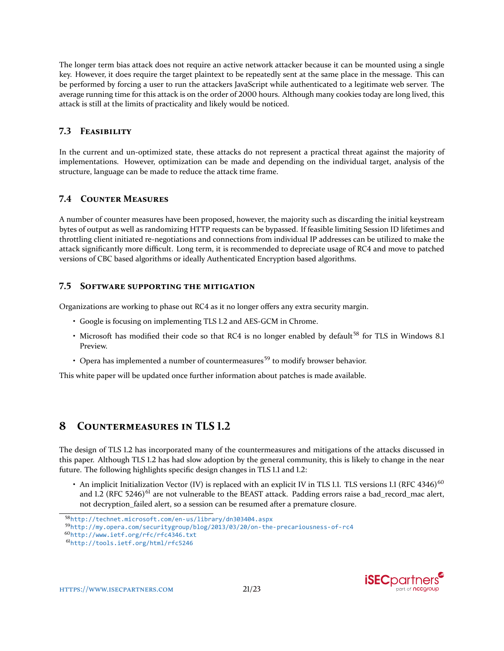The longer term bias attack does not require an active network attacker because it can be mounted using a single key. However, it does require the target plaintext to be repeatedly sent at the same place in the message. This can be performed by forcing a user to run the attackers JavaScript while authenticated to a legitimate web server. The average running time for this attack is on the order of 2000 hours. Although many cookies today are long lived, this attack is still at the limits of practicality and likely would be noticed.

# **7.3 FEASIBILITY**

In the current and un-optimized state, these attacks do not represent a practical threat against the majority of implementations. However, optimization can be made and depending on the individual target, analysis of the structure, language can be made to reduce the attack time frame.

# **7.4 COUNTER MEASURES**

A number of counter measures have been proposed, however, the majority such as discarding the initial keystream bytes of output as well as randomizing HTTP requests can be bypassed. If feasible limiting Session ID lifetimes and throttling client initiated re-negotiations and connections from individual IP addresses can be utilized to make the attack significantly more difficult. Long term, it is recommended to depreciate usage of RC4 and move to patched versions of CBC based algorithms or ideally Authenticated Encryption based algorithms.

### **7.5 SOFTWARE SUPPORTING THE MITIGATION**

Organizations are working to phase out RC4 as it no longer offers any extra security margin.

- Google is focusing on implementing TLS 1.2 and AES-GCM in Chrome.
- Microsoft has modified their code so that RC4 is no longer enabled by default<sup>[58](#page-20-0)</sup> for TLS in Windows 8.1 Preview.
- Opera has implemented a number of countermeasures<sup>[59](#page-20-1)</sup> to modify browser behavior.

This white paper will be updated once further information about patches is made available.

# **8 COUNTERMEASURES IN TLS 1.2**

The design of TLS 1.2 has incorporated many of the countermeasures and mitigations of the attacks discussed in this paper. Although TLS 1.2 has had slow adoption by the general community, this is likely to change in the near future. The following highlights specific design changes in TLS 1.1 and 1.2:

• An implicit Initialization Vector (IV) is replaced with an explicit IV in TLS 1.1. TLS versions 1.1 (RFC 4346) $^{60}$  $^{60}$  $^{60}$ and 1.2 (RFC 5246)<sup>[61](#page-20-3)</sup> are not vulnerable to the BEAST attack. Padding errors raise a bad\_record\_mac alert, not decryption\_failed alert, so a session can be resumed after a premature closure.

<span id="page-20-0"></span><sup>58</sup><http://technet.microsoft.com/en-us/library/dn303404.aspx>

<span id="page-20-1"></span><sup>59</sup><http://my.opera.com/securitygroup/blog/2013/03/20/on-the-precariousness-of-rc4>

<span id="page-20-2"></span><sup>60</sup><http://www.ietf.org/rfc/rfc4346.txt>

<span id="page-20-3"></span><sup>61</sup><http://tools.ietf.org/html/rfc5246>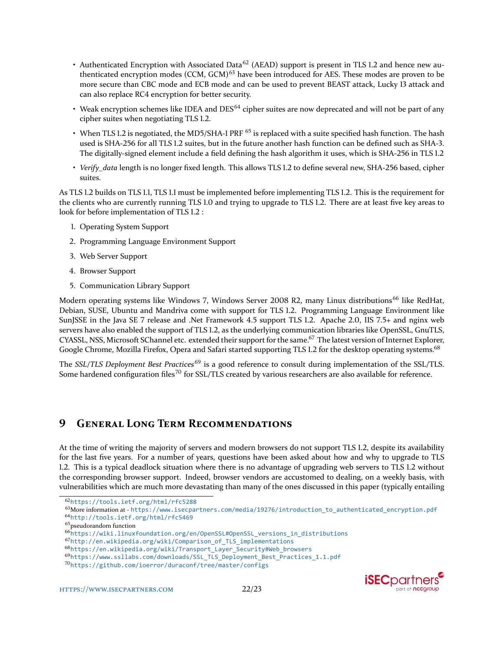- Authenticated Encryption with Associated Data<sup>[62](#page-21-0)</sup> (AEAD) support is present in TLS 1.2 and hence new au-thenticated encryption modes (CCM, GCM)<sup>[63](#page-21-1)</sup> have been introduced for AES. These modes are proven to be more secure than CBC mode and ECB mode and can be used to prevent BEAST attack, Lucky 13 attack and can also replace RC4 encryption for better security.
- Weak encryption schemes like IDEA and DES<sup>[64](#page-21-2)</sup> cipher suites are now deprecated and will not be part of any cipher suites when negotiating TLS 1.2.
- When TLS 1.2 is negotiated, the MD5/SHA-1 PRF <sup>[65](#page-21-3)</sup> is replaced with a suite specified hash function. The hash used is SHA-256 for all TLS 1.2 suites, but in the future another hash function can be defined such as SHA-3. The digitally-signed element include a field defining the hash algorithm it uses, which is SHA-256 in TLS 1.2
- *Verify\_data* length is no longer fixed length. This allows TLS 1.2 to define several new, SHA-256 based, cipher suites.

As TLS 1.2 builds on TLS 1.1, TLS 1.1 must be implemented before implementing TLS 1.2. This is the requirement for the clients who are currently running TLS 1.0 and trying to upgrade to TLS 1.2. There are at least five key areas to look for before implementation of TLS 1.2 :

- 1. Operating System Support
- 2. Programming Language Environment Support
- 3. Web Server Support
- 4. Browser Support
- 5. Communication Library Support

Modern operating systems like Windows 7, Windows Server 2008 R2, many Linux distributions<sup>[66](#page-21-4)</sup> like RedHat, Debian, SUSE, Ubuntu and Mandriva come with support for TLS 1.2. Programming Language Environment like SunJSSE in the Java SE 7 release and .Net Framework 4.5 support TLS 1.2. Apache 2.0, IIS 7.5+ and nginx web servers have also enabled the support of TLS 1.2, as the underlying communication libraries like OpenSSL, GnuTLS, CYASSL, NSS, Microsoft SChannel etc. extended their support for the same.<sup>[67](#page-21-5)</sup> The latest version of Internet Explorer, Google Chrome, Mozilla Firefox, Opera and Safari started supporting TLS 1.2 for the desktop operating systems.<sup>[68](#page-21-6)</sup>

The *SSL/TLS Deployment Best Practices*[69](#page-21-7) is a good reference to consult during implementation of the SSL/TLS. Some hardened configuration files<sup>[70](#page-21-8)</sup> for SSL/TLS created by various researchers are also available for reference.

# **9 GENERAL LONG TERM RECOMMENDATIONS**

At the time of writing the majority of servers and modern browsers do not support TLS 1.2, despite its availability for the last five years. For a number of years, questions have been asked about how and why to upgrade to TLS 1.2. This is a typical deadlock situation where there is no advantage of upgrading web servers to TLS 1.2 without the corresponding browser support. Indeed, browser vendors are accustomed to dealing, on a weekly basis, with vulnerabilities which are much more devastating than many of the ones discussed in this paper (typically entailing

<span id="page-21-5"></span><sup>67</sup>[http://en.wikipedia.org/wiki/Comparison\\_of\\_TLS\\_implementations](http://en.wikipedia.org/wiki/Comparison_of_TLS_implementations)

<span id="page-21-0"></span><sup>62</sup><https://tools.ietf.org/html/rfc5288>

<span id="page-21-1"></span> $63$ More information at - [https://www.isecpartners.com/media/19276/introduction\\_to\\_authenticated\\_encryption.pdf](https://www.isecpartners.com/media/19276/introduction_to_authenticated_encryption.pdf)

<span id="page-21-2"></span><sup>64</sup><http://tools.ietf.org/html/rfc5469>

<span id="page-21-3"></span><sup>&</sup>lt;sup>65</sup> pseudorandom function

<span id="page-21-4"></span><sup>66</sup>[https://wiki.linuxfoundation.org/en/OpenSSL#OpenSSL\\_versions\\_in\\_distributions](https://wiki.linuxfoundation.org/en/OpenSSL#OpenSSL_versions_in_distributions)

<span id="page-21-6"></span><sup>68</sup>[https://en.wikipedia.org/wiki/Transport\\_Layer\\_Security#Web\\_browsers](https://en.wikipedia.org/wiki/Transport_Layer_Security#Web_browsers)

<span id="page-21-7"></span><sup>69</sup>[https://www.ssllabs.com/downloads/SSL\\_TLS\\_Deployment\\_Best\\_Practices\\_1.1.pdf](https://www.ssllabs.com/downloads/SSL_TLS_Deployment_Best_Practices_1.1.pdf)

<span id="page-21-8"></span><sup>70</sup><https://github.com/ioerror/duraconf/tree/master/configs>